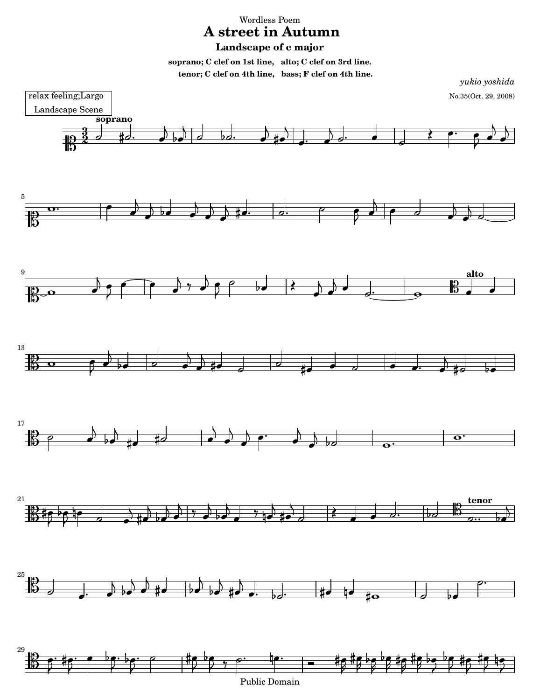Wordless Poem

## **A street in Autumn**

## **Landscape of c major**

**soprano; C clef on 1st line, alto; C clef on 3rd line. tenor; C clef on 4th line, bass; F clef on 4th line.**



Public Domain